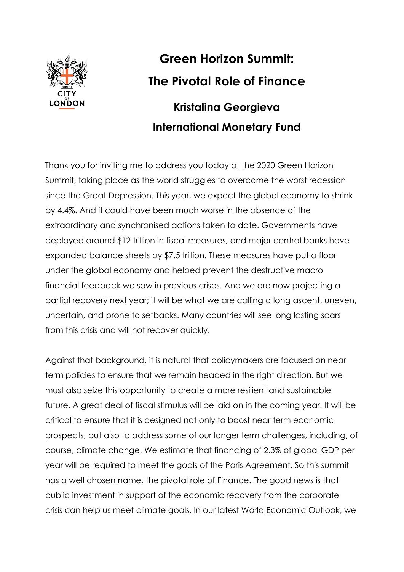

## **Green Horizon Summit: The Pivotal Role of Finance Kristalina Georgieva International Monetary Fund**

Thank you for inviting me to address you today at the 2020 Green Horizon Summit, taking place as the world struggles to overcome the worst recession since the Great Depression. This year, we expect the global economy to shrink by 4.4%. And it could have been much worse in the absence of the extraordinary and synchronised actions taken to date. Governments have deployed around \$12 trillion in fiscal measures, and major central banks have expanded balance sheets by \$7.5 trillion. These measures have put a floor under the global economy and helped prevent the destructive macro financial feedback we saw in previous crises. And we are now projecting a partial recovery next year; it will be what we are calling a long ascent, uneven, uncertain, and prone to setbacks. Many countries will see long lasting scars from this crisis and will not recover quickly.

Against that background, it is natural that policymakers are focused on near term policies to ensure that we remain headed in the right direction. But we must also seize this opportunity to create a more resilient and sustainable future. A great deal of fiscal stimulus will be laid on in the coming year. It will be critical to ensure that it is designed not only to boost near term economic prospects, but also to address some of our longer term challenges, including, of course, climate change. We estimate that financing of 2.3% of global GDP per year will be required to meet the goals of the Paris Agreement. So this summit has a well chosen name, the pivotal role of Finance. The good news is that public investment in support of the economic recovery from the corporate crisis can help us meet climate goals. In our latest World Economic Outlook, we